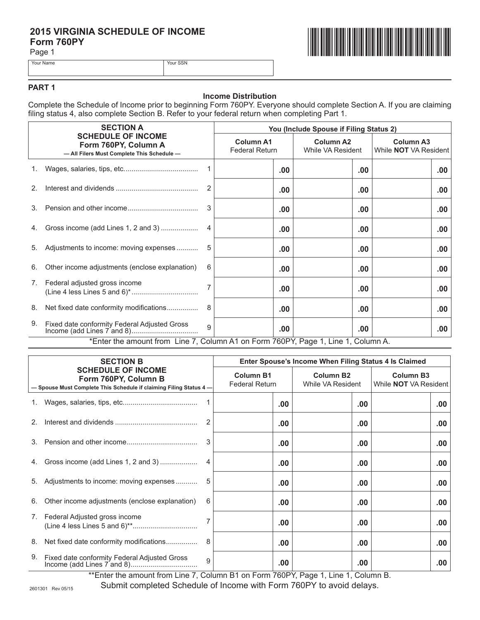# 2015 VIRGINIA SCHEDULE OF INCOME<br>Form 760PY<br>Page 1 **Form 760PY**

Page 1





### **PART 1**

### **Income Distribution**

Complete the Schedule of Income prior to beginning Form 760PY. Everyone should complete Section A. If you are claiming filing status 4, also complete Section B. Refer to your federal return when completing Part 1.

|    | <b>SECTION A</b><br><b>SCHEDULE OF INCOME</b><br>Form 760PY, Column A<br>- All Filers Must Complete This Schedule- |              | You (Include Spouse if Filing Status 2)   |          |                                       |                                                  |
|----|--------------------------------------------------------------------------------------------------------------------|--------------|-------------------------------------------|----------|---------------------------------------|--------------------------------------------------|
|    |                                                                                                                    |              | <b>Column A1</b><br><b>Federal Return</b> |          | <b>Column A2</b><br>While VA Resident | <b>Column A3</b><br>While <b>NOT</b> VA Resident |
|    |                                                                                                                    |              |                                           | .00      | $.00 \,$                              | .00.                                             |
| 2. |                                                                                                                    | 2            |                                           | .00      | .00                                   | .00.                                             |
| 3. |                                                                                                                    | 3            |                                           | .00      | $.00 \,$                              | .00.                                             |
| 4. | Gross income (add Lines 1, 2 and 3)                                                                                | 4            |                                           | .00      | .00                                   | .00.                                             |
| 5. | Adjustments to income: moving expenses                                                                             | 5            |                                           | .00      | .00                                   | .00.                                             |
| 6. | Other income adjustments (enclose explanation)                                                                     | 6            |                                           | .00      | .00                                   | .00.                                             |
| 7. | Federal adjusted gross income                                                                                      |              |                                           | .00      | $.00 \,$                              | .00.                                             |
| 8. | Net fixed date conformity modifications                                                                            | 8            |                                           | .00      | .00                                   | .00.                                             |
| 9. | Fixed date conformity Federal Adjusted Gross                                                                       | $\mathbf{Q}$ |                                           | $.00 \,$ | $.00 \,$                              | .00                                              |
|    | *Enter the amount from Line 7, Column A1 on Form 760PY, Page 1, Line 1, Column A.                                  |              |                                           |          |                                       |                                                  |

| <b>SECTION B</b><br><b>SCHEDULE OF INCOME</b><br>Form 760PY, Column B<br>- Spouse Must Complete This Schedule if claiming Filing Status 4- |                                                | Enter Spouse's Income When Filing Status 4 Is Claimed |  |          |                                       |      |                                                  |     |
|--------------------------------------------------------------------------------------------------------------------------------------------|------------------------------------------------|-------------------------------------------------------|--|----------|---------------------------------------|------|--------------------------------------------------|-----|
|                                                                                                                                            |                                                | <b>Column B1</b><br><b>Federal Return</b>             |  |          | <b>Column B2</b><br>While VA Resident |      | <b>Column B3</b><br>While <b>NOT</b> VA Resident |     |
|                                                                                                                                            |                                                |                                                       |  | $.00 \,$ |                                       | .00  |                                                  | .00 |
| 2.                                                                                                                                         |                                                | 2                                                     |  | $.00 \,$ |                                       | .00. |                                                  | .00 |
|                                                                                                                                            |                                                |                                                       |  | $.00 \,$ |                                       | .00  |                                                  | .00 |
| 4.                                                                                                                                         | Gross income (add Lines 1, 2 and 3)            |                                                       |  | .00      |                                       | .00  |                                                  | .00 |
| 5.                                                                                                                                         | Adjustments to income: moving expenses         |                                                       |  | .00      |                                       | .00. |                                                  | .00 |
| 6.                                                                                                                                         | Other income adjustments (enclose explanation) | 6                                                     |  | $.00 \,$ |                                       | .00. |                                                  | .00 |
| 7.                                                                                                                                         | Federal Adjusted gross income                  |                                                       |  | .00.     |                                       | .00. |                                                  | .00 |
| 8.                                                                                                                                         | Net fixed date conformity modifications        | 8                                                     |  | .00.     |                                       | .00. |                                                  | .00 |
| 9.                                                                                                                                         | Fixed date conformity Federal Adjusted Gross   | 9                                                     |  | $.00 \,$ |                                       | .00  |                                                  | .00 |

\*\*Enter the amount from Line 7, Column B1 on Form 760PY, Page 1, Line 1, Column B.

Submit completed Schedule of Income with Form 760PY to avoid delays.